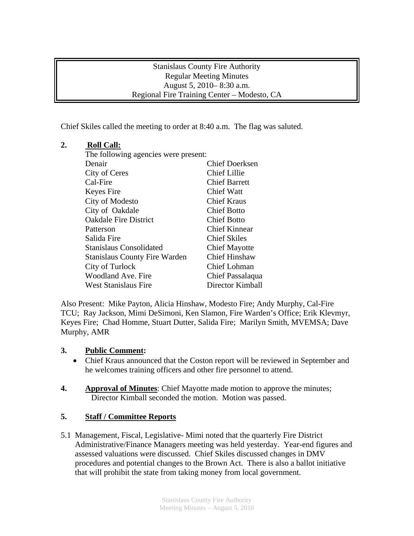### Stanislaus County Fire Authority Regular Meeting Minutes August 5, 2010– 8:30 a.m. Regional Fire Training Center – Modesto, CA

Chief Skiles called the meeting to order at 8:40 a.m. The flag was saluted.

# **2. Roll Call:**

| The following agencies were present: |                       |
|--------------------------------------|-----------------------|
| Denair                               | <b>Chief Doerksen</b> |
| City of Ceres                        | <b>Chief Lillie</b>   |
| Cal-Fire                             | <b>Chief Barrett</b>  |
| Keyes Fire                           | <b>Chief Watt</b>     |
| City of Modesto                      | <b>Chief Kraus</b>    |
| City of Oakdale                      | <b>Chief Botto</b>    |
| <b>Oakdale Fire District</b>         | <b>Chief Botto</b>    |
| Patterson                            | Chief Kinnear         |
| Salida Fire                          | <b>Chief Skiles</b>   |
| Stanislaus Consolidated              | <b>Chief Mayotte</b>  |
| <b>Stanislaus County Fire Warden</b> | <b>Chief Hinshaw</b>  |
| City of Turlock                      | <b>Chief Lohman</b>   |
| Woodland Ave. Fire                   | Chief Passalaqua      |
| <b>West Stanislaus Fire</b>          | Director Kimball      |

Also Present: Mike Payton, Alicia Hinshaw, Modesto Fire; Andy Murphy, Cal-Fire TCU; Ray Jackson, Mimi DeSimoni, Ken Slamon, Fire Warden's Office; Erik Klevmyr, Keyes Fire; Chad Homme, Stuart Dutter, Salida Fire; Marilyn Smith, MVEMSA; Dave Murphy, AMR

## **3. Public Comment:**

- Chief Kraus announced that the Coston report will be reviewed in September and he welcomes training officers and other fire personnel to attend.
- **4. Approval of Minutes**: Chief Mayotte made motion to approve the minutes; Director Kimball seconded the motion. Motion was passed.

# **5. Staff / Committee Reports**

5.1 Management, Fiscal, Legislative- Mimi noted that the quarterly Fire District Administrative/Finance Managers meeting was held yesterday. Year-end figures and assessed valuations were discussed. Chief Skiles discussed changes in DMV procedures and potential changes to the Brown Act. There is also a ballot initiative that will prohibit the state from taking money from local government.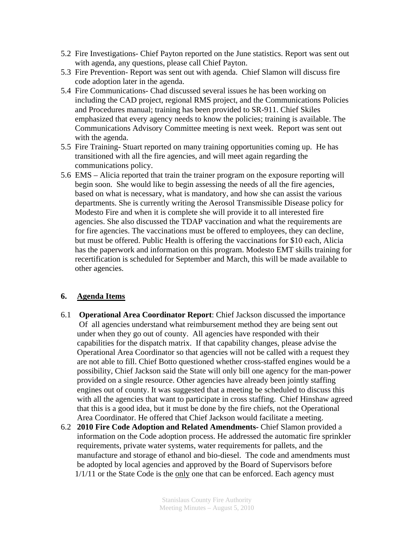- 5.2 Fire Investigations- Chief Payton reported on the June statistics. Report was sent out with agenda, any questions, please call Chief Payton.
- 5.3 Fire Prevention- Report was sent out with agenda. Chief Slamon will discuss fire code adoption later in the agenda.
- 5.4 Fire Communications- Chad discussed several issues he has been working on including the CAD project, regional RMS project, and the Communications Policies and Procedures manual; training has been provided to SR-911. Chief Skiles emphasized that every agency needs to know the policies; training is available. The Communications Advisory Committee meeting is next week. Report was sent out with the agenda.
- 5.5 Fire Training- Stuart reported on many training opportunities coming up. He has transitioned with all the fire agencies, and will meet again regarding the communications policy.
- 5.6 EMS Alicia reported that train the trainer program on the exposure reporting will begin soon. She would like to begin assessing the needs of all the fire agencies, based on what is necessary, what is mandatory, and how she can assist the various departments. She is currently writing the Aerosol Transmissible Disease policy for Modesto Fire and when it is complete she will provide it to all interested fire agencies. She also discussed the TDAP vaccination and what the requirements are for fire agencies. The vaccinations must be offered to employees, they can decline, but must be offered. Public Health is offering the vaccinations for \$10 each, Alicia has the paperwork and information on this program. Modesto EMT skills training for recertification is scheduled for September and March, this will be made available to other agencies.

## **6. Agenda Items**

- 6.1 **Operational Area Coordinator Report**: Chief Jackson discussed the importance Of all agencies understand what reimbursement method they are being sent out under when they go out of county. All agencies have responded with their capabilities for the dispatch matrix. If that capability changes, please advise the Operational Area Coordinator so that agencies will not be called with a request they are not able to fill. Chief Botto questioned whether cross-staffed engines would be a possibility, Chief Jackson said the State will only bill one agency for the man-power provided on a single resource. Other agencies have already been jointly staffing engines out of county. It was suggested that a meeting be scheduled to discuss this with all the agencies that want to participate in cross staffing. Chief Hinshaw agreed that this is a good idea, but it must be done by the fire chiefs, not the Operational Area Coordinator. He offered that Chief Jackson would facilitate a meeting.
- 6.2 **2010 Fire Code Adoption and Related Amendments-** Chief Slamon provided a information on the Code adoption process. He addressed the automatic fire sprinkler requirements, private water systems, water requirements for pallets, and the manufacture and storage of ethanol and bio-diesel. The code and amendments must be adopted by local agencies and approved by the Board of Supervisors before 1/1/11 or the State Code is the only one that can be enforced. Each agency must